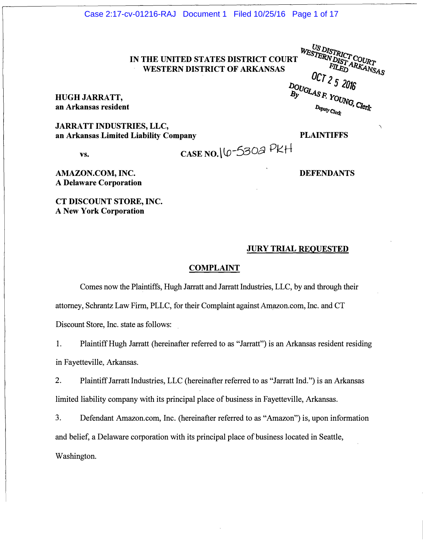WEST DISTRICT TO WE UNITED STATES DISTRICT COURT IN THE UNITED STATES DISTRICT COURT

s<br>Prist WESTERN DISTRICT OF ARKANSAS  $\rho_{\alpha}$ <sup>FILED</sup><sup>-VCKANS</sup>AS  $\begin{array}{c}\n\text{D}_{OUGLASF} < 5 \text{ } 20 \text{ for }\n\text{By} < \text{D}_{OUNG} \text{ for }\n\text{D}_{OUNG_{GSL}} < \text{Clerk} \\
\text{D}_{OUG_{GSL}} < \text{Clerk} \n\end{array}$ Deputy Clerk

HUGH JARRATT, an Arkansas resident

JARRATT INDUSTRIES, LLC, an Arkansas Limited Liability Company

vs. CASE NO.  $\sqrt{6}-530a$  PKH

AMAZON.COM, INC. A Delaware Corporation

CT DISCOUNT STORE, INC. A New York Corporation

### JURY TRIAL REQUESTED

### COMPLAINT

Comes now the Plaintiffs, Hugh Jarratt and Jarratt Industries, LLC, by and through their attorney, Schrantz Law Firm, PLLC, for their Complaint against Amazon.com, Inc. and CT Discount Store, Inc. state as follows:

1. Plaintiff Hugh Jarratt (hereinafter referred to as "Jarratt") is an Arkansas resident residing in Fayetteville, Arkansas.

2. Plaintiff Jarratt Industries, LLC (hereinafter referred to as "Jarratt Ind.") is an Arkansas limited liability company with its principal place of business in Fayetteville, Arkansas.

3. Defendant Amazon.com, Inc. (hereinafter referred to as "Amazon") is, upon information and belief, a Delaware corporation with its principal place of business located in Seattle, Washington.

PLAINTIFFS

DEFENDANTS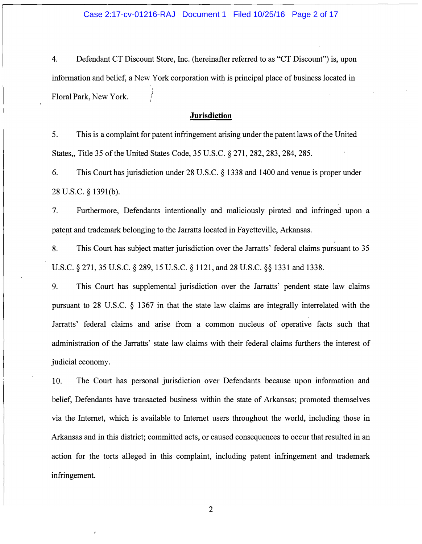4. Defendant CT Discount Store, Inc. (hereinafter referred to as "CT Discount") is, upon information and belief, a New York corporation with is principal place of business located in Floral Park, New York.

### Jurisdiction

5. This is a complaint for patent infringement arising under the patent laws of the United States,, Title 35 of the United States Code, 35 U.S.C. § 271, 282, 283, 284, 285.

6. This Court has jurisdiction under 28 U.S.C. § 1338 and 1400 and venue is proper under 28 U.S.C. § 139l(b).

7. Furthermore, Defendants intentionally and maliciously pirated and infringed upon a patent and trademark belonging to the Jarratts located in Fayetteville, Arkansas.

8. This Court has subject matter jurisdiction over the Jarratts' federal claims pursuant to 35 U.S.C. § 271, 35 U.S.C. § 289, 15 U.S.C. § 1121, and 28 U.S.C. §§ 1331 and 1338.

9. This Court has supplemental jurisdiction over the Jarratts' pendent state law claims pursuant to 28 U.S.C. § 1367 in that the state law claims are integrally interrelated with the Jarratts' federal claims and arise from a common nucleus of operative facts such that administration of the Jarratts' state law claims with their federal claims furthers the interest of judicial economy.

10. The Court has personal jurisdiction over Defendants because upon information and belief, Defendants have transacted business within the state of Arkansas; promoted themselves via the Internet, which is available to Internet users throughout the world, including those in Arkansas and in this district; committed acts, or caused consequences to occur that resulted in an action for the torts alleged in this complaint, including patent infringement and trademark infringement.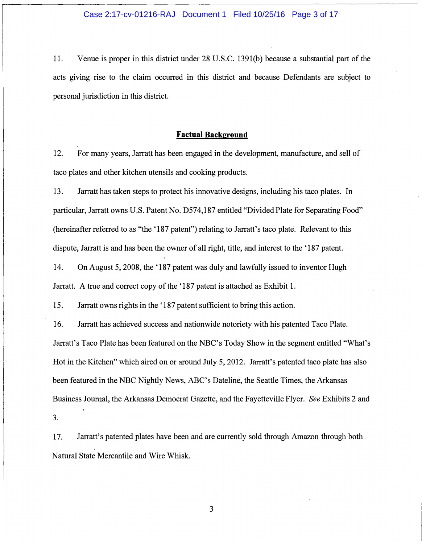### Case 2:17-cv-01216-RAJ Document 1 Filed 10/25/16 Page 3 of 17

11. Venue is proper in this district under 28 U.S.C. 1391(b) because a substantial part of the acts giving rise to the claim occurred in this district and because Defendants are subject to personal jurisdiction in this district.

### Factual Background

12. For many years, Jarratt has been engaged in the development, manufacture, and sell of taco plates and other kitchen utensils and cooking products.

13. Jarratt has taken steps to protect his innovative designs, including his taco plates. In particular, Jarratt owns U.S. Patent No. D574,187 entitled "Divided Plate for Separating Food" (hereinafter referred to as "the '187 patent") relating to Jarratt's taco plate. Relevant to this dispute, Jarratt is and has been the owner of all right, title, and interest to the' 187 patent. 14. On August 5, 2008, the' 187 patent was duly and lawfully issued to inventor Hugh

Jarratt. A true and correct copy of the '187 patent is attached as Exhibit 1.

15. Jarratt owns rights in the '187 patent sufficient to bring this action.

16. Jarratt has achieved success and nationwide notoriety with his patented Taco Plate. Jarratt's Taco Plate has been featured on the NBC's Today Show in the segment entitled "What's Hot in the Kitchen" which aired on or around July 5, 2012. Jarratt's patented taco plate has also been featured in the NBC Nightly News, ABC's Dateline, the Seattle Times, the Arkansas Business Journal, the Arkansas Democrat Gazette, and the Fayetteville Flyer. See Exhibits 2 and 3.

17. Jarratt's patented plates have been and are currently sold through Amazon through both Natural State Mercantile and Wire Whisk.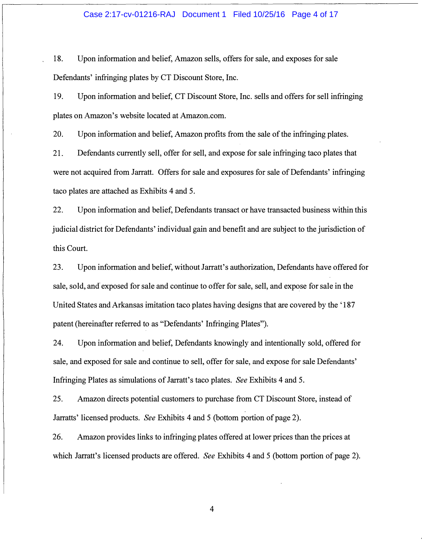### Case 2:17-cv-01216-RAJ Document 1 Filed 10/25/16 Page 4 of 17

18. Upon information and belief, Amazon sells, offers for sale, and exposes for sale Defendants' infringing plates by CT Discount Store, Inc.

19. Upon information and belief, CT Discount Store, Inc. sells and offers for sell infringing plates on Amazon's website located at Amazon.com.

20. Upon information and belief, Amazon profits from the sale of the infringing plates.

21. Defendants currently sell, offer for sell, and expose for sale infringing taco plates that were not acquired from Jarratt. Offers for sale and exposures for sale of Defendants' infringing taco plates are attached as Exhibits 4 and 5.

22. Upon information and belief, Defendants transact or have transacted business within this judicial district for Defendants' individual gain and benefit and are subject to the jurisdiction of this Court.

23. Upon information and belief, without Jarratt's authorization, Defendants have offered for sale, sold, and exposed for sale and continue to offer for sale, sell, and expose for sale in the United States and Arkansas imitation taco plates having designs that are covered by the '187 patent (hereinafter referred to as "Defendants' Infringing Plates").

24. Upon information and belief, Defendants knowingly and intentionally sold, offered for sale, and exposed for sale and continue to sell, offer for sale, and expose for sale Defendants' Infringing Plates as simulations of Jarratt's taco plates. See Exhibits 4 and 5.

25. Amazon directs potential customers to purchase from CT Discount Store, instead of Jarratts' licensed products. See Exhibits 4 and 5 (bottom portion of page 2).

26. Amazon provides links to infringing plates offered at lower prices than the prices at which Jarratt's licensed products are offered. *See* Exhibits 4 and 5 (bottom portion of page 2).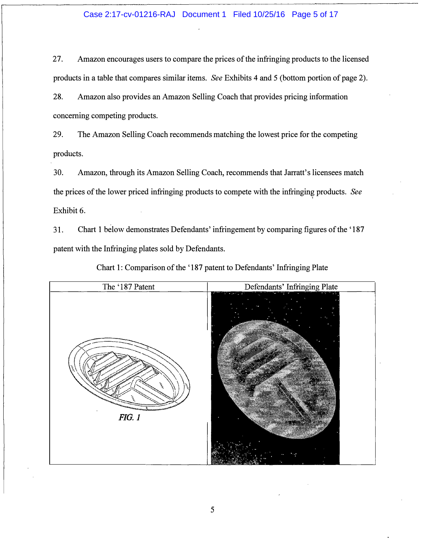### Case 2:17-cv-01216-RAJ Document 1 Filed 10/25/16 Page 5 of 17

27. Amazon encourages users to compare the prices of the infringing products to the licensed products in a table that compares similar items. See Exhibits 4 and 5 (bottom portion of page 2).

28. Amazon also provides an Amazon Selling Coach that provides pricing information concerning competing products.

29. The Amazon Selling Coach recommends matching the lowest price for the competing products.

30. Amazon, through its Amazon Selling Coach, recommends that Jarratt's licensees match the prices of the lower priced infringing products to compete with the infringing products. See Exhibit 6.

31. Chart 1 below demonstrates Defendants' infringement by comparing figures of the '187 patent with the Infringing plates sold by Defendants.



Chart 1: Comparison of the '187 patent to Defendants' Infringing Plate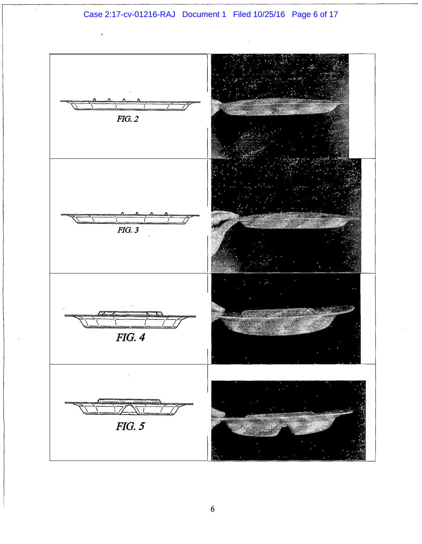Case 2:17-cv-01216-RAJ Document 1 Filed 10/25/16 Page 6 of 17

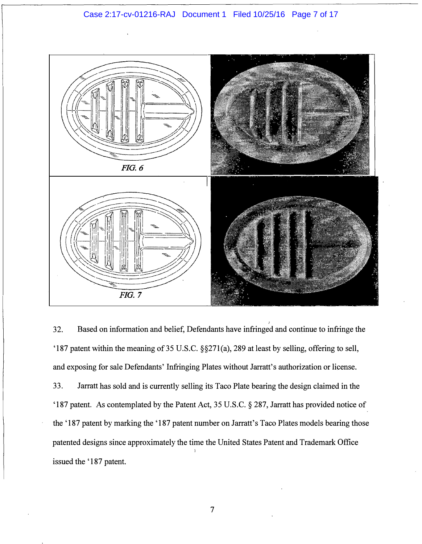### Case 2:17-cv-01216-RAJ Document 1 Filed 10/25/16 Page 7 of 17



32. Based on information and belief, Defendants have infringed and continue to infringe the '187 patent within the meaning of35 U.S.C. §§271(a), 289 at least by selling, offering to sell, and exposing for sale Defendants' Infringing Plates without Jarratt's authorization or license. 33. Jarratt has sold and is currently selling its Taco Plate bearing the design claimed in the '187 patent. As contemplated by the Patent Act, 35 U.S.C. § 287, Jarratt has provided notice of the '187 patent by marking the '187 patent number on Jarratt's Taco Plates models bearing those patented designs since approximately the time the United States Patent and Trademark Office I issued the '187 patent.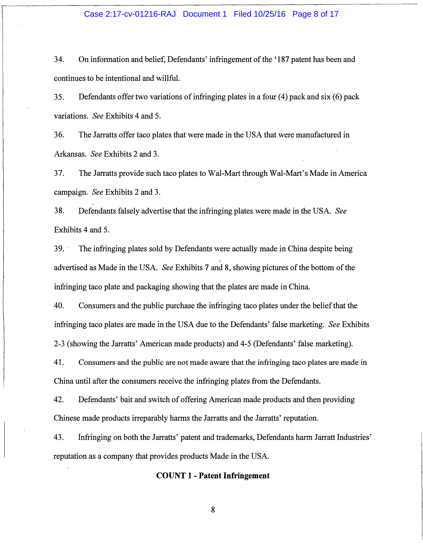### Case 2:17-cv-01216-RAJ Document 1 Filed 10/25/16 Page 8 of 17

34. On information and belief, Defendants' infringement of the '187 patent has been and continues to be intentional and willful.

35. Defendants offer two variations of infringing plates in a four (4) pack and six (6) pack variations. See Exhibits 4 and 5.

36. The Jarratts offer taco plates that were made in the USA that were manufactured in Arkansas. See Exhibits 2 and 3.

37. The Jarratts provide such taco plates to Wal-Mart through Wal-Mart's Made in America campaign. See Exhibits 2 and 3.

38. Defendants falsely advertise that the infringing plates were made in the USA. See Exhibits 4 and 5.

39. · The infringing plates sold by Defendants were actually made in China despite being advertised as Made in the USA. See Exhibits 7 and 8, showing pictures of the bottom of the infringing taco plate and packaging showing that the plates are made in China.

40. Consumers and the public purchase the infringing taco plates under the belief that the infringing taco plates are made in the USA due to the Defendants' false marketing. See Exhibits 2-3 (showing the Jarratts' American made products) and 4-5 (Defendants' false marketing).

41. Consumers and the public are not made aware that the infringing taco plates are made in China until after the consumers receive the infringing plates from the Defendants.

42. Defendants' bait and switch of offering American made products and then providing Chinese made products irreparably harms the Jarratts and the Jarratts' reputation.

43. Infringing on both the Jarratts' patent and trademarks, Defendants harm Jarratt Industries' reputation as a company that provides products Made in the USA.

### COUNT 1 - Patent Infringement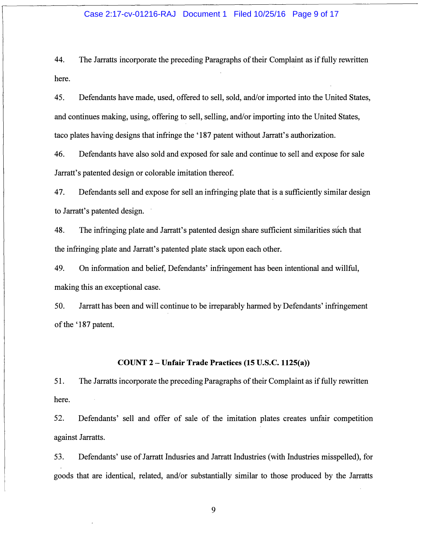### Case 2:17-cv-01216-RAJ Document 1 Filed 10/25/16 Page 9 of 17

44. The Jarratts incorporate the preceding Paragraphs of their Complaint as if fully rewritten here.

45. Defendants have made, used, offered to sell, sold, and/ot imported into the United States, and continues making, using, offering to sell, selling, and/or importing into the United States, taco plates having designs that infringe the '187 patent without Jarratt's authorization.

46. Defendants have also sold and exposed for sale and continue to sell and expose for sale Jarratt's patented design or colorable imitation thereof.

47. Defendants sell and expose for sell an infringing plate that is a sufficiently similar design to Jarratt's patented design.

48. The infringing plate and Jarratt's patented design share sufficient similarities such that the infringing plate and Jarratt's patented plate stack upon each other.

49. On information and belief, Defendants' infringement has been intentional and willful, making this an exceptional case.

50. Jarratt has been and will continue to be irreparably harmed by Defendants' infringement of the '187 patent.

### COUNT 2- Unfair Trade Practices (15 U.S.C.1125(a))

51. The Jarratts incorporate the preceding Paragraphs of their Complaint as if fully rewritten here.

52. Defendants' sell and offer of sale of the imitation plates creates unfair competition against Jarratts.

53. Defendants' use of Jarratt Indusries and Jarratt Industries (with Industries misspelled), for goods that are identical, related, and/or substantially similar to those produced by the Jarratts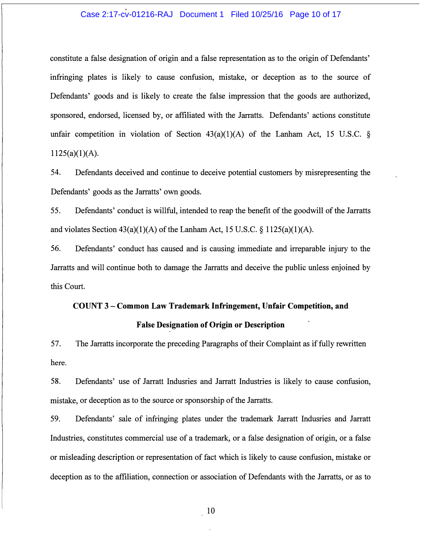## Case 2:17-cv-01216-RAJ Document 1 Filed 10/25/16 Page 10 of 17

constitute a false designation of origin and a false representation as to the origin of Defendants' infringing plates is likely to cause confusion, mistake, or deception as to the source of Defendants' goods and is likely to create the false impression that the goods are authorized, sponsored, endorsed, licensed by, or affiliated with the Jarratts. Defendants' actions constitute unfair competition in violation of Section  $43(a)(1)(A)$  of the Lanham Act, 15 U.S.C. §  $1125(a)(1)(A)$ .

54. Defendants deceived and continue to deceive potential customers by misrepresenting the Defendants' goods as the Jarratts' own goods.

55. Defendants' conduct is willful, intended to reap the benefit of the goodwill of the Jarratts and violates Section  $43(a)(1)(A)$  of the Lanham Act, 15 U.S.C. § 1125(a)(1)(A).

56. Defendants' conduct has caused and is causing immediate and irreparable injury to the Jarratts and will continue both to damage the Jarratts and deceive the public unless enjoined by this Court.

# COUNT 3 - Common Law Trademark Infringement, Unfair Competition, and False Designation of Origin or Description

57. The Jarratts incorporate the preceding Paragraphs of their Complaint as if fully rewritten here.

58. Defendants' use of Jarratt Indusries and Jarratt Industries is likely to cause confusion, mistake, or deception as to the source or sponsorship of the Jarratts.

59. Defendants' sale of infringing plates under the trademark Jarratt Indusries and Jarratt Industries, constitutes commercial use of a trademark, or a false designation of origin, or. a false or misleading description or representation of fact which is likely to cause confusion, mistake or deception as to the affiliation, connection or association of Defendants with the Jarratts, or as to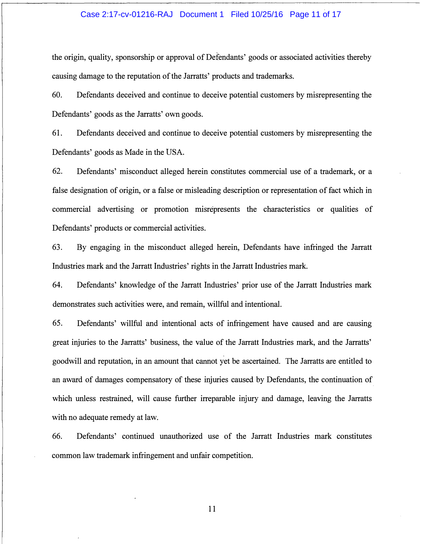### Case 2:17-cv-01216-RAJ Document 1 Filed 10/25/16 Page 11 of 17

the origin, quality, sponsorship or approval of Defendants' goods or associated activities thereby causing damage to the reputation of the Jarratts' products and trademarks.

60. Defendants deceived and continue to deceive potential customers by misrepresenting the Defendants' goods as the Jarratts' own goods.

61. Defendants deceived and continue to deceive potential customers by misrepresenting the Defendants' goods as Made in the USA.

62. Defendants' misconduct alleged herein constitutes commercial use of a trademark, or a false designation of origin, or a false or misleading description or representation of fact which in commercial advertising or promotion misrepresents the characteristics or qualities of Defendants' products or commercial activities.

63. By engaging in the misconduct alleged herein, Defendants have infringed the Jarratt Industries mark and the Jarratt Industries' rights in the Jarratt Industries mark.

64. Defendants' knowledge of the Jarratt Industries' prior use of the Jarratt Industries mark demonstrates such activities were, and remain, willful and intentional.

65. Defendants' willful and intentional acts of infringement have caused and are causing great injuries to the Jarratts' business, the value of the Jarratt Industries mark, and the Jarratts' goodwill and reputation, in an amount that cannot yet be ascertained. The Jarratts are entitled to an award of damages compensatory of these injuries caused by Defendants, the continuation of which unless restrained, will cause further irreparable injury and damage, leaving the Jarratts with no adequate remedy at law.

66. Defendants' continued unauthorized use of the Jarratt Industries mark constitutes common law trademark infringement and unfair competition.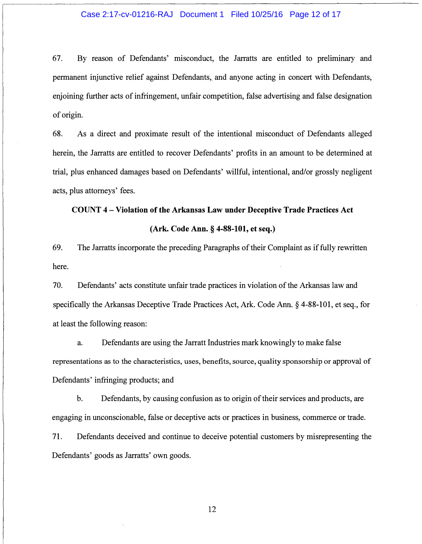### Case 2:17-cv-01216-RAJ Document 1 Filed 10/25/16 Page 12 of 17

67. By reason of Defendants' misconduct, the Jarratts are entitled to preliminary and permanent injunctive relief against Defendants,\_ and anyone acting in concert with Defendants, enjoining further acts of infringement, unfair competition, false advertising and false designation of origin.

68. As a direct and proximate result of the intentional misconduct of Defendants alleged herein, the Jarratts are entitled to recover Defendants' profits in an amount to be determined at trial, plus enhanced damages based on Defendants' willful, intentional, and/or grossly negligent acts, plus attorneys' fees.

# COUNT 4 - Violation of the Arkansas Law under Deceptive Trade Practices Act (Ark. Code Ann.§ 4-88-101, et seq.)

69. The Jarratts incorporate the preceding Paragraphs of their Complaint as if fully rewritten here.

70. Defendants' acts constitute unfair trade practices in violation of the Arkansas law and specifically the Arkansas Deceptive Trade Practices Act, Ark. Code Ann. § 4-88-101, et seq., for at least the following reason:

a. Defendants are using the Jarratt Industries mark knowingly to make false representations as to the characteristics, uses, benefits, source, quality sponsorship or approval of Defendants' infringing products; and

b. Defendants, by causing confusion as to origin of their services and products, are engaging in unconscionable, false or deceptive acts or practices in business, commerce or trade.

71. Defendants deceived and continue to deceive potential customers by misrepresenting the Defendants' goods as Jarratts' own goods.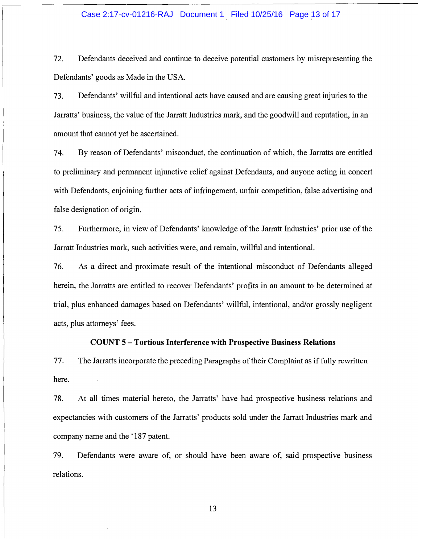### Case 2:17-cv-01216-RAJ Document 1 Filed 10/25/16 Page 13 of 17

72. Defendants deceived and continue to deceive potential customers by misrepresenting the Defendants' goods as Made in the USA.

73. Defendants' willful and intentional acts have caused and are causing great injuries to the Jarratts' business, the value of the Jarratt Industries mark, and the goodwill and reputation, in an amount that cannot yet be ascertained.

74. By reason of Defendants' misconduct, the continuation of which, the Jarratts are entitled to preliminary and permanent injunctive relief against Defendants, and anyone acting in concert with Defendants, enjoining further acts of infringement, unfair competition, false advertising and false designation of origin.

7 5. Furthermore, in view of Defendants' knowledge of the Jarratt Industries' prior use of the Jarratt Industries mark, such activities were, and remain, willful and intentional.

76. As a direct and proximate result of the intentional misconduct of Defendants alleged herein, the Jarratts are entitled to recover Defendants' profits in an amount to be determined at trial, plus enhanced damages based on Defendants' willful, intentional, and/or grossly negligent acts, plus attorneys' fees.

### COUNT 5-Tortious Interference with Prospective Business Relations

77. The Jarratts incorporate the preceding Paragraphs of their Complaint as if fully rewritten here.

78. At all times material hereto, the Jarratts' have had prospective business relations and expectancies with customers of the Jarratts' products sold under the Jarratt Industries mark and company name and the '187 patent.

79. Defendants were aware of, or should have been aware of, said prospective business relations.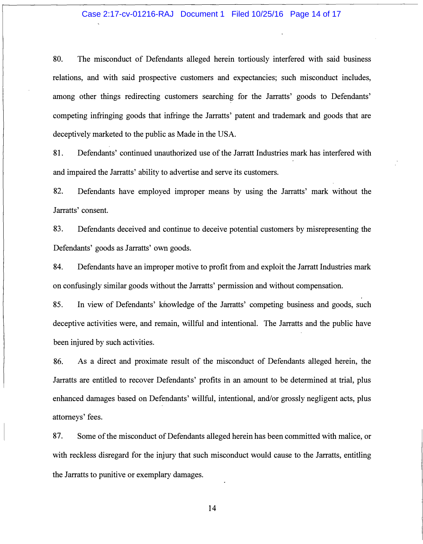### Case 2:17-cv-01216-RAJ Document 1 Filed 10/25/16 Page 14 of 17

80. The misconduct of Defendants alleged herein tortiously interfered with said business relations, and with said prospective customers and expectancies; such misconduct includes, among other things redirecting customers searching for the Jarratts' goods to Defendants' competing infringing goods that infringe the Jarratts' patent and trademark and goods that are deceptively marketed to the public as Made in the USA.

81. Defendants' continued unauthorized use of the Jarratt Industries mark has interfered with and impaired the Jarratts' ability to advertise and serve its customers.

82. Defendants have employed improper means by using the Jarratts' mark without the Jarratts' consent.

83. Defendants deceived and continue to deceive potential customers by misrepresenting the Defendants' goods as Jarratts' own goods.

84. Defendants have an improper motive to profit from and exploit the Jarratt Industries mark on confusingly similar goods without the Jarratts' permission and without compensation.

85. In view of Defendants' knowledge of the Jarratts' competing business and goods, such deceptive activities were, and remain, willful and intentional. The Jarratts and the public have been injured by such activities.

86. As a direct and proximate result of the misconduct of Defendants alleged herein, the Jarratts are entitled to recover Defendants' profits in an amount to be determined at trial, plus enhanced damages based on Defendants' willful, intentional, and/or grossly negligent acts, plus attorneys' fees.

87. Some of the misconduct of Defendants alleged herein has been committed with malice, or with reckless disregard for the injury that such misconduct would cause to the Jarratts, entitling the Jarratts to punitive or exemplary damages.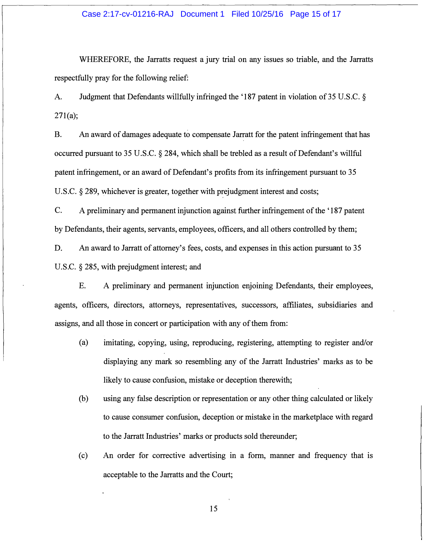### Case 2:17-cv-01216-RAJ Document 1 Filed 10/25/16 Page 15 of 17

WHEREFORE, the Jarratts request a jury trial on any issues so triable, and the Jarratts respectfully pray for the following relief:

A. Judgment that Defendants willfully infringed the '187 patent in violation of 35 U.S.C. § 271(a);

B. An award of damages adequate to compensate Jarratt for the patent infringement that has occurred pursuant to 35 U.S.C. § 284, which shall be trebled as a result of Defendant's willful patent infringement, or an award of Defendant's profits from its infringement pursuant to 35 U.S.C. § 289, whichever is greater, together with prejudgment interest and costs;

C. A preliminary and permanent injunction against further infringement of the '187 patent by Defendants, their agents, servants, employees, officers, and all others controlled by them;

D. An award to Jarratt of attorney's fees, costs, and expenses in this action pursuant to 35 U.S.C. § 285, with prejudgment interest; and

E. A preliminary and permanent injunction enjoining Defendants, their employees, agents, officers, directors, attorneys, representatives, successors, affiliates, subsidiaries and assigns, and all those in concert or participation with any of them from:

- (a) imitating, copying, using, reproducing, registering, attempting to register and/or displaying any mark so resembling any of the Jarratt Industries' marks as to be likely to cause confusion, mistake or deception therewith;
- (b) using any false description or representation or any other thing calculated or likely to cause consumer confusion, deception or mistake in the marketplace with regard to the Jarratt Industries' marks or products sold thereunder;
- ( c) An order for corrective advertising in a form, manner and frequency that is acceptable to the Jarratts and the Court;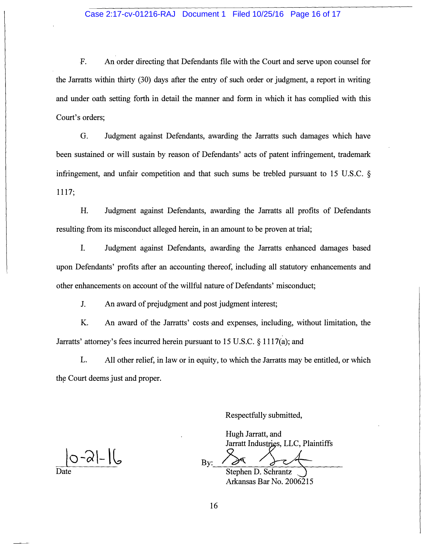## Case 2:17-cv-01216-RAJ Document 1 Filed 10/25/16 Page 16 of 17

F. An order directing that Defendants file with the Court and serve upon counsel for the Jarratts within thirty (30) days after the entry of such order or judgment, a report in writing and under oath setting forth in detail the manner and form in which it has complied with this Court's orders;

G. Judgment against Defendants, awarding the Jarratts such damages which have been sustained or will sustain by reason of Defendants' acts of patent infringement, trademark infringement, and unfair competition and that such sums be trebled pursuant to 15 U.S.C. § 1117;

H. Judgment against Defendants, awarding the Jarratts all profits of Defendants resulting from its misconduct alleged herein, in an amount to be proven at trial;

I. Judgment against Defendants, awarding the Jarratts enhanced damages based upon Defendants' profits after an accounting thereof, including all statutory enhancements and other enhancements on account of the willful nature of Defendants' misconduct;

J. An award of prejudgment and post judgment interest;

K. An award of the Jarratts' costs and expenses, including, without limitation, the Jarratts' attorney's fees incurred herein pursuant to 15 U.S.C. § 1117(a); and

L. All other relief, in law or in equity, to which the Jarratts may be entitled, or which the Court deems just and proper.

Respectfully submitted,

Hugh Jarratt, and Jarratt Industries, LLC, Plaintiffs  $\frac{1}{2}$ Bv:

Stephen D. Schrantz Arkansas Bar No. 2006215

 $0 - 2| - | \zeta$ 

Date